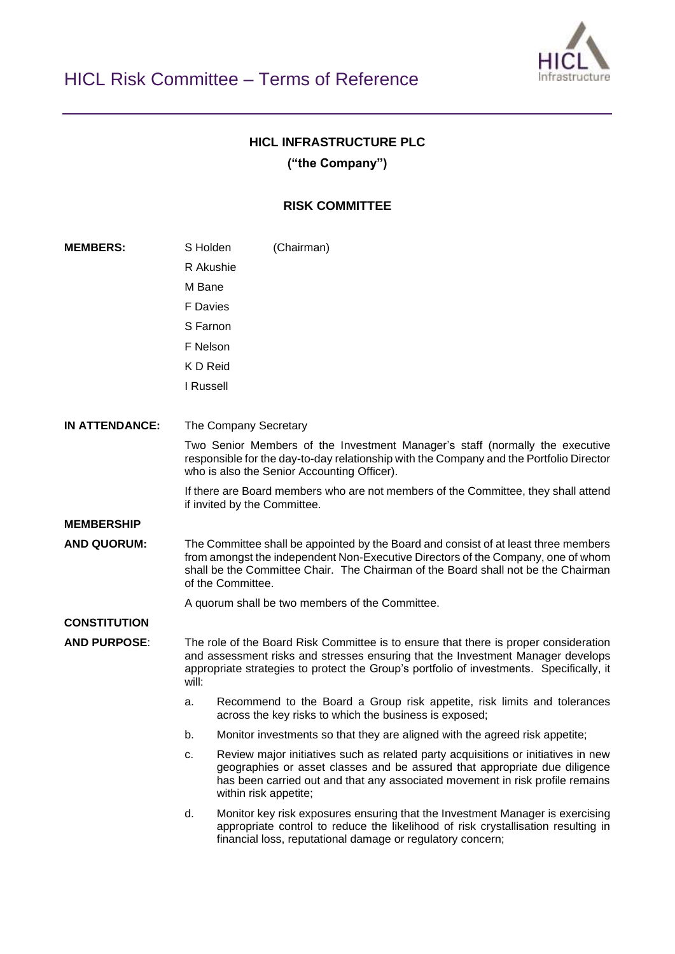

## **HICL INFRASTRUCTURE PLC**

**("the Company")**

## **RISK COMMITTEE**

**MEMBERS:** S Holden (Chairman) R Akushie M Bane F Davies S Farnon F Nelson K D Reid I Russell **IN ATTENDANCE:** The Company Secretary Two Senior Members of the Investment Manager's staff (normally the executive responsible for the day-to-day relationship with the Company and the Portfolio Director who is also the Senior Accounting Officer). If there are Board members who are not members of the Committee, they shall attend if invited by the Committee. **MEMBERSHIP AND QUORUM:** The Committee shall be appointed by the Board and consist of at least three members from amongst the independent Non-Executive Directors of the Company, one of whom shall be the Committee Chair. The Chairman of the Board shall not be the Chairman of the Committee. A quorum shall be two members of the Committee. **CONSTITUTION AND PURPOSE**: The role of the Board Risk Committee is to ensure that there is proper consideration and assessment risks and stresses ensuring that the Investment Manager develops appropriate strategies to protect the Group's portfolio of investments. Specifically, it will: a. Recommend to the Board a Group risk appetite, risk limits and tolerances across the key risks to which the business is exposed; b. Monitor investments so that they are aligned with the agreed risk appetite; c. Review major initiatives such as related party acquisitions or initiatives in new geographies or asset classes and be assured that appropriate due diligence has been carried out and that any associated movement in risk profile remains within risk appetite; d. Monitor key risk exposures ensuring that the Investment Manager is exercising appropriate control to reduce the likelihood of risk crystallisation resulting in financial loss, reputational damage or regulatory concern;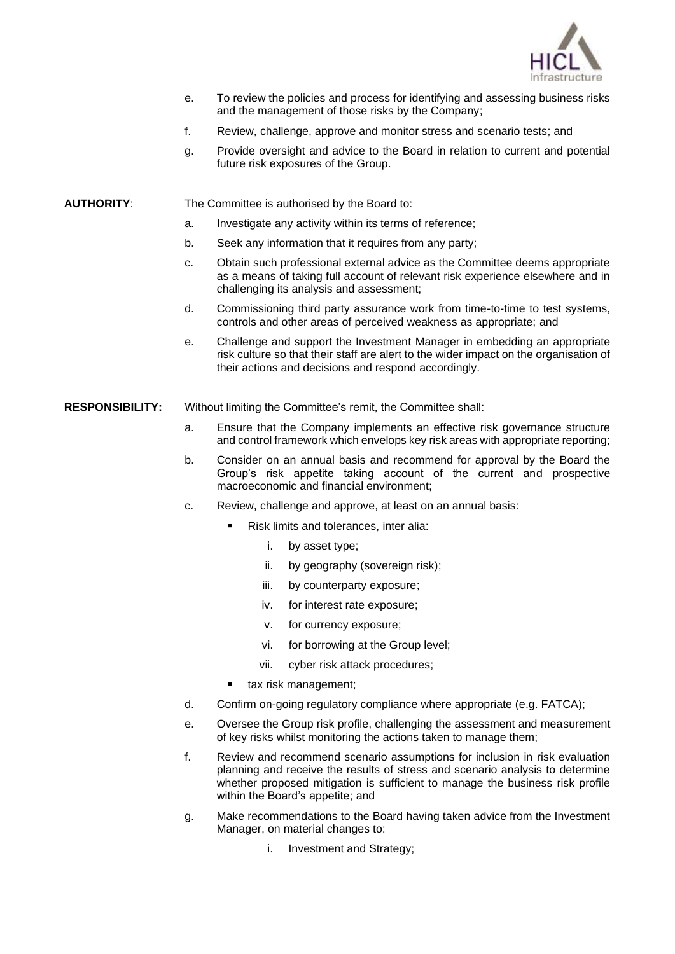

- e. To review the policies and process for identifying and assessing business risks and the management of those risks by the Company;
- f. Review, challenge, approve and monitor stress and scenario tests; and
- g. Provide oversight and advice to the Board in relation to current and potential future risk exposures of the Group.
- **AUTHORITY**: The Committee is authorised by the Board to:
	- a. Investigate any activity within its terms of reference;
	- b. Seek any information that it requires from any party;
	- c. Obtain such professional external advice as the Committee deems appropriate as a means of taking full account of relevant risk experience elsewhere and in challenging its analysis and assessment;
	- d. Commissioning third party assurance work from time-to-time to test systems, controls and other areas of perceived weakness as appropriate; and
	- e. Challenge and support the Investment Manager in embedding an appropriate risk culture so that their staff are alert to the wider impact on the organisation of their actions and decisions and respond accordingly.
- **RESPONSIBILITY:** Without limiting the Committee's remit, the Committee shall:
	- a. Ensure that the Company implements an effective risk governance structure and control framework which envelops key risk areas with appropriate reporting;
	- b. Consider on an annual basis and recommend for approval by the Board the Group's risk appetite taking account of the current and prospective macroeconomic and financial environment;
	- c. Review, challenge and approve, at least on an annual basis:
		- Risk limits and tolerances, inter alia:
			- i. by asset type;
			- ii. by geography (sovereign risk):
			- iii. by counterparty exposure;
			- iv. for interest rate exposure;
			- v. for currency exposure;
			- vi. for borrowing at the Group level;
			- vii. cyber risk attack procedures;
			- tax risk management:
	- d. Confirm on-going regulatory compliance where appropriate (e.g. FATCA);
	- e. Oversee the Group risk profile, challenging the assessment and measurement of key risks whilst monitoring the actions taken to manage them;
	- f. Review and recommend scenario assumptions for inclusion in risk evaluation planning and receive the results of stress and scenario analysis to determine whether proposed mitigation is sufficient to manage the business risk profile within the Board's appetite; and
	- g. Make recommendations to the Board having taken advice from the Investment Manager, on material changes to:
		- i. Investment and Strategy;